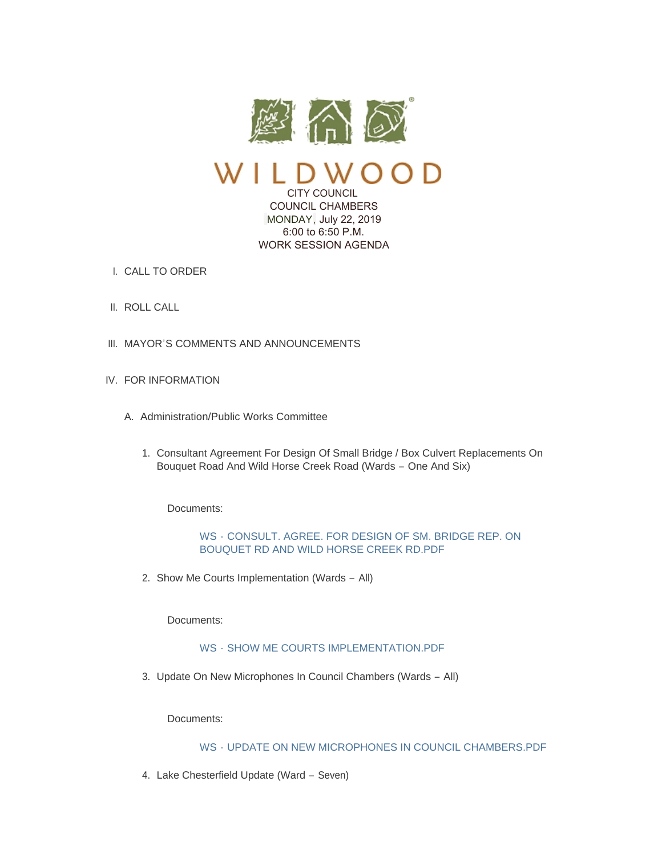

 $100D$ CITY COUNCIL

 COUNCIL CHAMBERS MONDAY, July 22, 2019 6:00 to 6:50 P.M. WORK SESSION AGENDA

- CALL TO ORDER I.
- II. ROLL CALL
- III. MAYOR'S COMMENTS AND ANNOUNCEMENTS
- IV. FOR INFORMATION
	- A. Administration/Public Works Committee
		- 1. Consultant Agreement For Design Of Small Bridge / Box Culvert Replacements On Bouquet Road And Wild Horse Creek Road (Wards – One And Six)

Documents:

WS - [CONSULT. AGREE. FOR DESIGN OF SM. BRIDGE REP. ON](https://www.cityofwildwood.com/AgendaCenter/ViewFile/Item/21249?fileID=26802)  BOUQUET RD AND WILD HORSE CREEK RD.PDF

2. Show Me Courts Implementation (Wards - All)

Documents:

### WS - [SHOW ME COURTS IMPLEMENTATION.PDF](https://www.cityofwildwood.com/AgendaCenter/ViewFile/Item/21250?fileID=26834)

3. Update On New Microphones In Council Chambers (Wards - All)

Documents:

WS - [UPDATE ON NEW MICROPHONES IN COUNCIL CHAMBERS.PDF](https://www.cityofwildwood.com/AgendaCenter/ViewFile/Item/21251?fileID=26845)

4. Lake Chesterfield Update (Ward - Seven)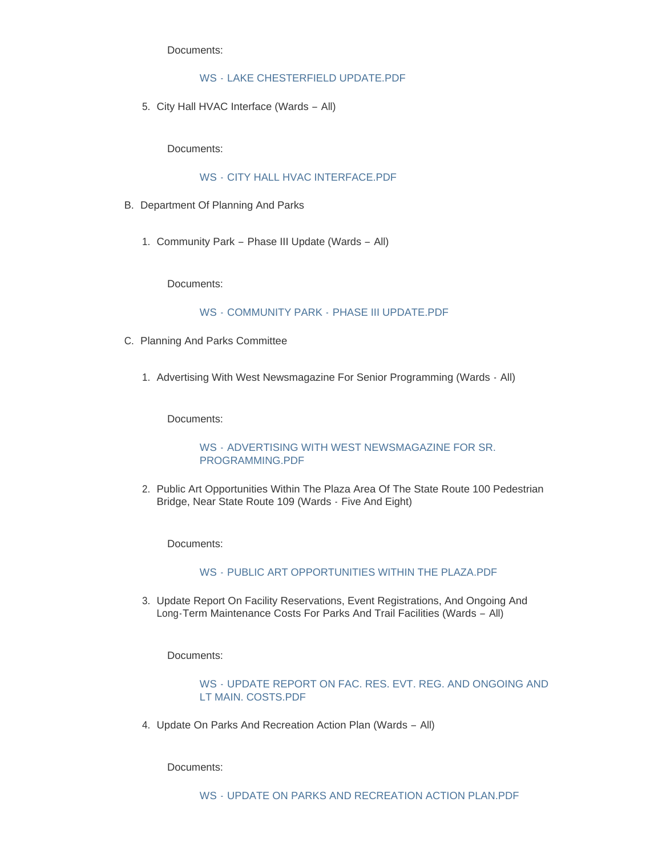Documents:

# WS - [LAKE CHESTERFIELD UPDATE.PDF](https://www.cityofwildwood.com/AgendaCenter/ViewFile/Item/21252?fileID=26835)

5. City Hall HVAC Interface (Wards - All)

Documents:

# WS - [CITY HALL HVAC INTERFACE.PDF](https://www.cityofwildwood.com/AgendaCenter/ViewFile/Item/21253?fileID=26844)

- B. Department Of Planning And Parks
	- 1. Community Park Phase III Update (Wards All)

Documents:

# WS - COMMUNITY PARK - PHASE III UPDATE PDF

- C. Planning And Parks Committee
	- 1. Advertising With West Newsmagazine For Senior Programming (Wards All)

Documents:

# WS - [ADVERTISING WITH WEST NEWSMAGAZINE FOR SR.](https://www.cityofwildwood.com/AgendaCenter/ViewFile/Item/21257?fileID=26803)  PROGRAMMING.PDF

2. Public Art Opportunities Within The Plaza Area Of The State Route 100 Pedestrian Bridge, Near State Route 109 (Wards - Five And Eight)

Documents:

#### WS - [PUBLIC ART OPPORTUNITIES WITHIN THE PLAZA.PDF](https://www.cityofwildwood.com/AgendaCenter/ViewFile/Item/21258?fileID=26804)

3. Update Report On Facility Reservations, Event Registrations, And Ongoing And Long-Term Maintenance Costs For Parks And Trail Facilities (Wards – All)

Documents:

# WS - [UPDATE REPORT ON FAC. RES. EVT. REG. AND ONGOING AND](https://www.cityofwildwood.com/AgendaCenter/ViewFile/Item/21259?fileID=26805)  LT MAIN. COSTS.PDF

4. Update On Parks And Recreation Action Plan (Wards - All)

Documents: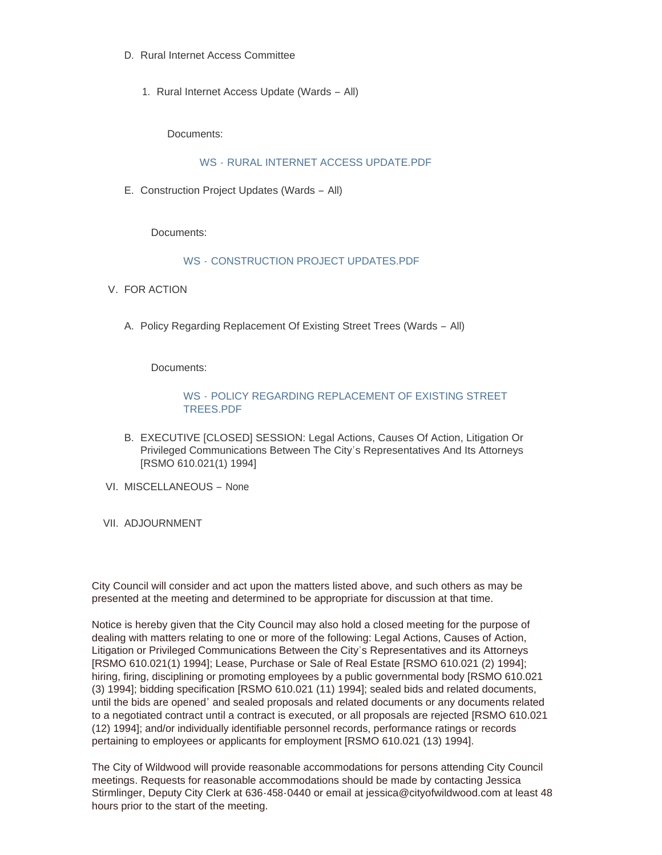- D. Rural Internet Access Committee
	- 1. Rural Internet Access Update (Wards All)

Documents:

WS - [RURAL INTERNET ACCESS UPDATE.PDF](https://www.cityofwildwood.com/AgendaCenter/ViewFile/Item/21262?fileID=26830)

E. Construction Project Updates (Wards - All)

Documents:

#### WS - [CONSTRUCTION PROJECT UPDATES.PDF](https://www.cityofwildwood.com/AgendaCenter/ViewFile/Item/21268?fileID=26809)

- V. FOR ACTION
	- A. Policy Regarding Replacement Of Existing Street Trees (Wards All)

Documents:

### WS - [POLICY REGARDING REPLACEMENT OF EXISTING STREET](https://www.cityofwildwood.com/AgendaCenter/ViewFile/Item/21265?fileID=26829)  TREES.PDF

- B. EXECUTIVE [CLOSED] SESSION: Legal Actions, Causes Of Action, Litigation Or Privileged Communications Between The City's Representatives And Its Attorneys [RSMO 610.021(1) 1994]
- VI. MISCELLANEOUS None
- VII. ADJOURNMENT

City Council will consider and act upon the matters listed above, and such others as may be presented at the meeting and determined to be appropriate for discussion at that time.

Notice is hereby given that the City Council may also hold a closed meeting for the purpose of dealing with matters relating to one or more of the following: Legal Actions, Causes of Action, Litigation or Privileged Communications Between the City's Representatives and its Attorneys [RSMO 610.021(1) 1994]; Lease, Purchase or Sale of Real Estate [RSMO 610.021 (2) 1994]; hiring, firing, disciplining or promoting employees by a public governmental body [RSMO 610.021 (3) 1994]; bidding specification [RSMO 610.021 (11) 1994]; sealed bids and related documents, until the bids are opened' and sealed proposals and related documents or any documents related to a negotiated contract until a contract is executed, or all proposals are rejected [RSMO 610.021 (12) 1994]; and/or individually identifiable personnel records, performance ratings or records pertaining to employees or applicants for employment [RSMO 610.021 (13) 1994].

The City of Wildwood will provide reasonable accommodations for persons attending City Council meetings. Requests for reasonable accommodations should be made by contacting Jessica Stirmlinger, Deputy City Clerk at 636-458-0440 or email at jessica@cityofwildwood.com at least 48 hours prior to the start of the meeting.